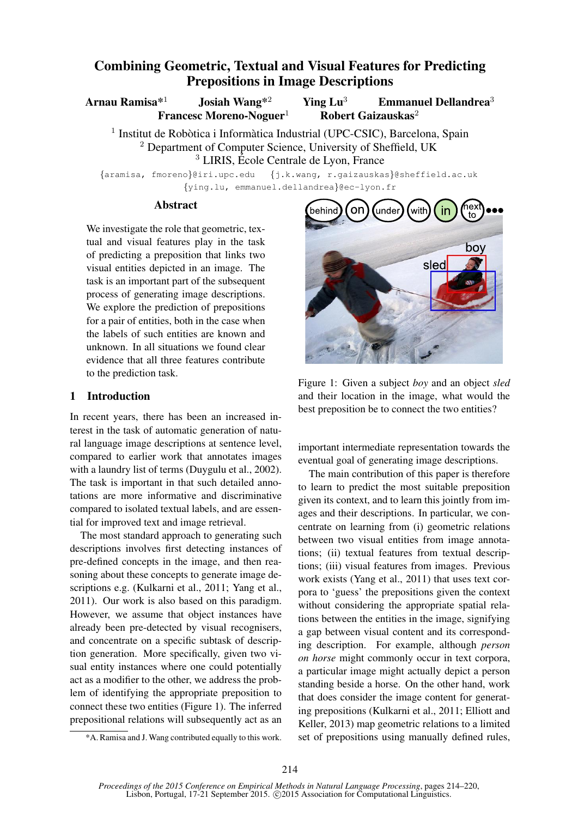# Combining Geometric, Textual and Visual Features for Predicting Prepositions in Image Descriptions

Arnau Ramisa\*<sup>1</sup> Josiah Wang<sup>\*2</sup> Ying Lu<sup>3</sup> Emmanuel Dellandrea<sup>3</sup>

Francesc Moreno-Noguer<sup>1</sup> Robert Gaizauskas<sup>2</sup>

<sup>1</sup> Institut de Robòtica i Informàtica Industrial (UPC-CSIC), Barcelona, Spain <sup>2</sup> Department of Computer Science, University of Sheffield, UK  $3$  LIRIS, École Centrale de Lyon, France

{aramisa, fmoreno}@iri.upc.edu {j.k.wang, r.gaizauskas}@sheffield.ac.uk {ying.lu, emmanuel.dellandrea}@ec-lyon.fr

#### **Abstract**

We investigate the role that geometric, textual and visual features play in the task of predicting a preposition that links two visual entities depicted in an image. The task is an important part of the subsequent process of generating image descriptions. We explore the prediction of prepositions for a pair of entities, both in the case when the labels of such entities are known and unknown. In all situations we found clear evidence that all three features contribute to the prediction task.

#### 1 Introduction

In recent years, there has been an increased interest in the task of automatic generation of natural language image descriptions at sentence level, compared to earlier work that annotates images with a laundry list of terms (Duygulu et al., 2002). The task is important in that such detailed annotations are more informative and discriminative compared to isolated textual labels, and are essential for improved text and image retrieval.

The most standard approach to generating such descriptions involves first detecting instances of pre-defined concepts in the image, and then reasoning about these concepts to generate image descriptions e.g. (Kulkarni et al., 2011; Yang et al., 2011). Our work is also based on this paradigm. However, we assume that object instances have already been pre-detected by visual recognisers, and concentrate on a specific subtask of description generation. More specifically, given two visual entity instances where one could potentially act as a modifier to the other, we address the problem of identifying the appropriate preposition to connect these two entities (Figure 1). The inferred prepositional relations will subsequently act as an



Figure 1: Given a subject *boy* and an object *sled* and their location in the image, what would the best preposition be to connect the two entities?

important intermediate representation towards the eventual goal of generating image descriptions.

The main contribution of this paper is therefore to learn to predict the most suitable preposition given its context, and to learn this jointly from images and their descriptions. In particular, we concentrate on learning from (i) geometric relations between two visual entities from image annotations; (ii) textual features from textual descriptions; (iii) visual features from images. Previous work exists (Yang et al., 2011) that uses text corpora to 'guess' the prepositions given the context without considering the appropriate spatial relations between the entities in the image, signifying a gap between visual content and its corresponding description. For example, although *person on horse* might commonly occur in text corpora, a particular image might actually depict a person standing beside a horse. On the other hand, work that does consider the image content for generating prepositions (Kulkarni et al., 2011; Elliott and Keller, 2013) map geometric relations to a limited set of prepositions using manually defined rules,

<sup>\*</sup>A. Ramisa and J. Wang contributed equally to this work.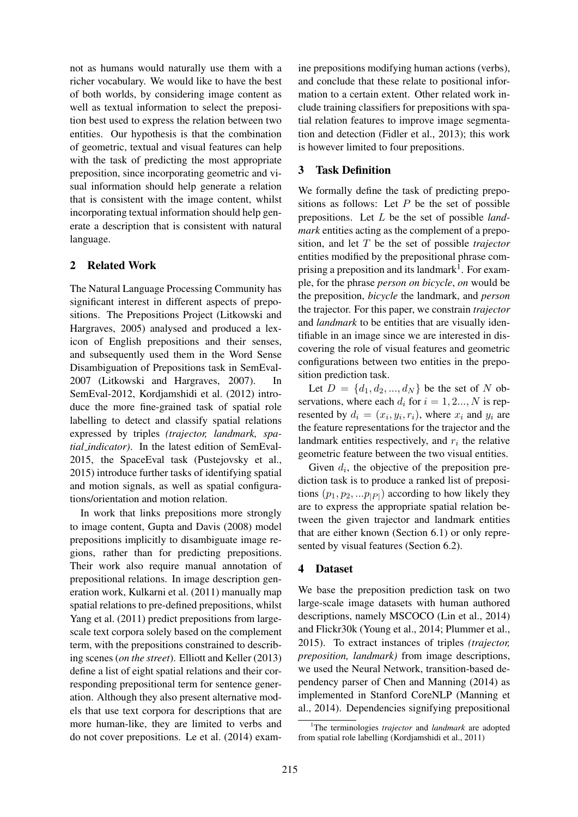not as humans would naturally use them with a richer vocabulary. We would like to have the best of both worlds, by considering image content as well as textual information to select the preposition best used to express the relation between two entities. Our hypothesis is that the combination of geometric, textual and visual features can help with the task of predicting the most appropriate preposition, since incorporating geometric and visual information should help generate a relation that is consistent with the image content, whilst incorporating textual information should help generate a description that is consistent with natural language.

## 2 Related Work

The Natural Language Processing Community has significant interest in different aspects of prepositions. The Prepositions Project (Litkowski and Hargraves, 2005) analysed and produced a lexicon of English prepositions and their senses, and subsequently used them in the Word Sense Disambiguation of Prepositions task in SemEval-2007 (Litkowski and Hargraves, 2007). In SemEval-2012, Kordjamshidi et al. (2012) introduce the more fine-grained task of spatial role labelling to detect and classify spatial relations expressed by triples *(trajector, landmark, spatial indicator)*. In the latest edition of SemEval-2015, the SpaceEval task (Pustejovsky et al., 2015) introduce further tasks of identifying spatial and motion signals, as well as spatial configurations/orientation and motion relation.

In work that links prepositions more strongly to image content, Gupta and Davis (2008) model prepositions implicitly to disambiguate image regions, rather than for predicting prepositions. Their work also require manual annotation of prepositional relations. In image description generation work, Kulkarni et al. (2011) manually map spatial relations to pre-defined prepositions, whilst Yang et al. (2011) predict prepositions from largescale text corpora solely based on the complement term, with the prepositions constrained to describing scenes (*on the street*). Elliott and Keller (2013) define a list of eight spatial relations and their corresponding prepositional term for sentence generation. Although they also present alternative models that use text corpora for descriptions that are more human-like, they are limited to verbs and do not cover prepositions. Le et al. (2014) exam-

ine prepositions modifying human actions (verbs), and conclude that these relate to positional information to a certain extent. Other related work include training classifiers for prepositions with spatial relation features to improve image segmentation and detection (Fidler et al., 2013); this work is however limited to four prepositions.

## 3 Task Definition

We formally define the task of predicting prepositions as follows: Let  $P$  be the set of possible prepositions. Let L be the set of possible *landmark* entities acting as the complement of a preposition, and let T be the set of possible *trajector* entities modified by the prepositional phrase comprising a preposition and its landmark<sup>1</sup>. For example, for the phrase *person on bicycle*, *on* would be the preposition, *bicycle* the landmark, and *person* the trajector. For this paper, we constrain *trajector* and *landmark* to be entities that are visually identifiable in an image since we are interested in discovering the role of visual features and geometric configurations between two entities in the preposition prediction task.

Let  $D = \{d_1, d_2, ..., d_N\}$  be the set of N observations, where each  $d_i$  for  $i = 1, 2..., N$  is represented by  $d_i = (x_i, y_i, r_i)$ , where  $x_i$  and  $y_i$  are the feature representations for the trajector and the landmark entities respectively, and  $r_i$  the relative geometric feature between the two visual entities.

Given  $d_i$ , the objective of the preposition prediction task is to produce a ranked list of prepositions  $(p_1, p_2, ... p_{|P|})$  according to how likely they are to express the appropriate spatial relation between the given trajector and landmark entities that are either known (Section 6.1) or only represented by visual features (Section 6.2).

#### 4 Dataset

We base the preposition prediction task on two large-scale image datasets with human authored descriptions, namely MSCOCO (Lin et al., 2014) and Flickr30k (Young et al., 2014; Plummer et al., 2015). To extract instances of triples *(trajector, preposition, landmark)* from image descriptions, we used the Neural Network, transition-based dependency parser of Chen and Manning (2014) as implemented in Stanford CoreNLP (Manning et al., 2014). Dependencies signifying prepositional

<sup>1</sup>The terminologies *trajector* and *landmark* are adopted from spatial role labelling (Kordjamshidi et al., 2011)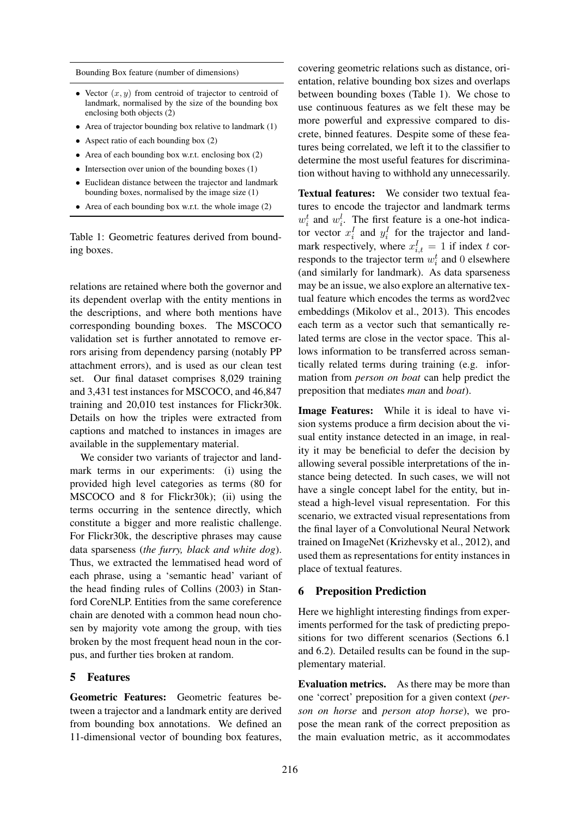Bounding Box feature (number of dimensions)

- Vector  $(x, y)$  from centroid of trajector to centroid of landmark, normalised by the size of the bounding box enclosing both objects (2)
- Area of trajector bounding box relative to landmark (1)
- Aspect ratio of each bounding box (2)
- Area of each bounding box w.r.t. enclosing box (2)
- Intersection over union of the bounding boxes (1)
- Euclidean distance between the trajector and landmark bounding boxes, normalised by the image size (1)
- Area of each bounding box w.r.t. the whole image (2)

Table 1: Geometric features derived from bounding boxes.

relations are retained where both the governor and its dependent overlap with the entity mentions in the descriptions, and where both mentions have corresponding bounding boxes. The MSCOCO validation set is further annotated to remove errors arising from dependency parsing (notably PP attachment errors), and is used as our clean test set. Our final dataset comprises 8,029 training and 3,431 test instances for MSCOCO, and 46,847 training and 20,010 test instances for Flickr30k. Details on how the triples were extracted from captions and matched to instances in images are available in the supplementary material.

We consider two variants of trajector and landmark terms in our experiments: (i) using the provided high level categories as terms (80 for MSCOCO and 8 for Flickr30k); (ii) using the terms occurring in the sentence directly, which constitute a bigger and more realistic challenge. For Flickr30k, the descriptive phrases may cause data sparseness (*the furry, black and white dog*). Thus, we extracted the lemmatised head word of each phrase, using a 'semantic head' variant of the head finding rules of Collins (2003) in Stanford CoreNLP. Entities from the same coreference chain are denoted with a common head noun chosen by majority vote among the group, with ties broken by the most frequent head noun in the corpus, and further ties broken at random.

#### 5 Features

Geometric Features: Geometric features between a trajector and a landmark entity are derived from bounding box annotations. We defined an 11-dimensional vector of bounding box features,

covering geometric relations such as distance, orientation, relative bounding box sizes and overlaps between bounding boxes (Table 1). We chose to use continuous features as we felt these may be more powerful and expressive compared to discrete, binned features. Despite some of these features being correlated, we left it to the classifier to determine the most useful features for discrimination without having to withhold any unnecessarily.

Textual features: We consider two textual features to encode the trajector and landmark terms  $w_i^t$  and  $w_i^l$ . The first feature is a one-hot indicator vector  $x_i^I$  and  $y_i^I$  for the trajector and landmark respectively, where  $x_{i,t}^I = 1$  if index t corresponds to the trajector term  $w_i^t$  and 0 elsewhere (and similarly for landmark). As data sparseness may be an issue, we also explore an alternative textual feature which encodes the terms as word2vec embeddings (Mikolov et al., 2013). This encodes each term as a vector such that semantically related terms are close in the vector space. This allows information to be transferred across semantically related terms during training (e.g. information from *person on boat* can help predict the preposition that mediates *man* and *boat*).

Image Features: While it is ideal to have vision systems produce a firm decision about the visual entity instance detected in an image, in reality it may be beneficial to defer the decision by allowing several possible interpretations of the instance being detected. In such cases, we will not have a single concept label for the entity, but instead a high-level visual representation. For this scenario, we extracted visual representations from the final layer of a Convolutional Neural Network trained on ImageNet (Krizhevsky et al., 2012), and used them as representations for entity instances in place of textual features.

#### 6 Preposition Prediction

Here we highlight interesting findings from experiments performed for the task of predicting prepositions for two different scenarios (Sections 6.1 and 6.2). Detailed results can be found in the supplementary material.

Evaluation metrics. As there may be more than one 'correct' preposition for a given context (*person on horse* and *person atop horse*), we propose the mean rank of the correct preposition as the main evaluation metric, as it accommodates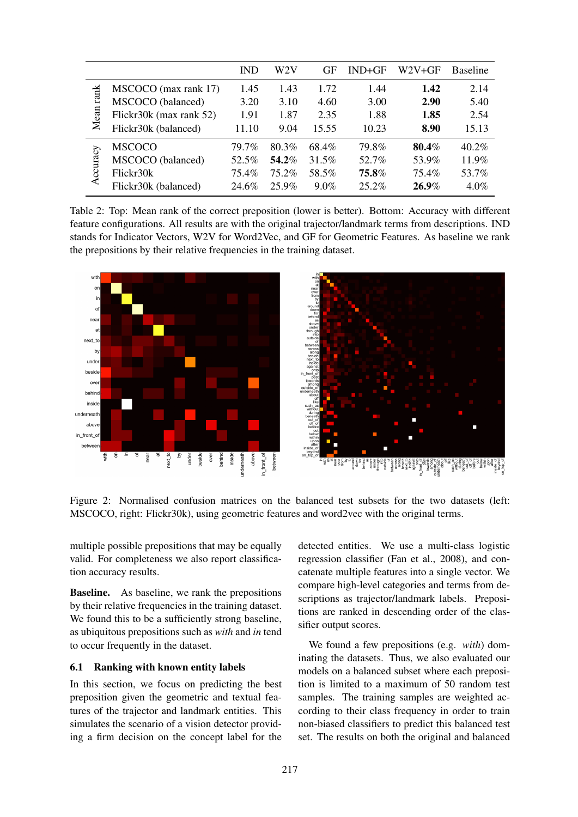|              |                         | <b>IND</b> | W2V      | GF      | $IND+GF$ | W2V+GF   | <b>Baseline</b> |
|--------------|-------------------------|------------|----------|---------|----------|----------|-----------------|
| rank<br>Mean | MSCOCO (max rank 17)    | 1.45       | 1.43     | 1.72    | 1.44     | 1.42     | 2.14            |
|              | MSCOCO (balanced)       | 3.20       | 3.10     | 4.60    | 3.00     | 2.90     | 5.40            |
|              | Flickr30k (max rank 52) | 1.91       | 1.87     | 2.35    | 1.88     | 1.85     | 2.54            |
|              | Flickr30k (balanced)    | 11.10      | 9.04     | 15.55   | 10.23    | 8.90     | 15.13           |
| ccuracy      | MSCOCO                  | 79.7%      | 80.3%    | 68.4%   | 79.8%    | 80.4%    | $40.2\%$        |
|              | MSCOCO (balanced)       | 52.5%      | 54.2%    | 31.5%   | 52.7%    | 53.9%    | 11.9%           |
|              | Flickr30k               | 75.4%      | $75.2\%$ | 58.5%   | 75.8%    | 75.4%    | 53.7%           |
|              | Flickr30k (balanced)    | 24.6%      | 25.9%    | $9.0\%$ | $25.2\%$ | $26.9\%$ | $4.0\%$         |

Table 2: Top: Mean rank of the correct preposition (lower is better). Bottom: Accuracy with different feature configurations. All results are with the original trajector/landmark terms from descriptions. IND stands for Indicator Vectors, W2V for Word2Vec, and GF for Geometric Features. As baseline we rank the prepositions by their relative frequencies in the training dataset.



Figure 2: Normalised confusion matrices on the balanced test subsets for the two datasets (left: MSCOCO, right: Flickr30k), using geometric features and word2vec with the original terms.

multiple possible prepositions that may be equally valid. For completeness we also report classification accuracy results.

Baseline. As baseline, we rank the prepositions by their relative frequencies in the training dataset. We found this to be a sufficiently strong baseline, as ubiquitous prepositions such as *with* and *in* tend to occur frequently in the dataset.

#### 6.1 Ranking with known entity labels

In this section, we focus on predicting the best preposition given the geometric and textual features of the trajector and landmark entities. This simulates the scenario of a vision detector providing a firm decision on the concept label for the

detected entities. We use a multi-class logistic regression classifier (Fan et al., 2008), and concatenate multiple features into a single vector. We compare high-level categories and terms from descriptions as trajector/landmark labels. Prepositions are ranked in descending order of the classifier output scores.

We found a few prepositions (e.g. *with*) dominating the datasets. Thus, we also evaluated our models on a balanced subset where each preposition is limited to a maximum of 50 random test samples. The training samples are weighted according to their class frequency in order to train non-biased classifiers to predict this balanced test set. The results on both the original and balanced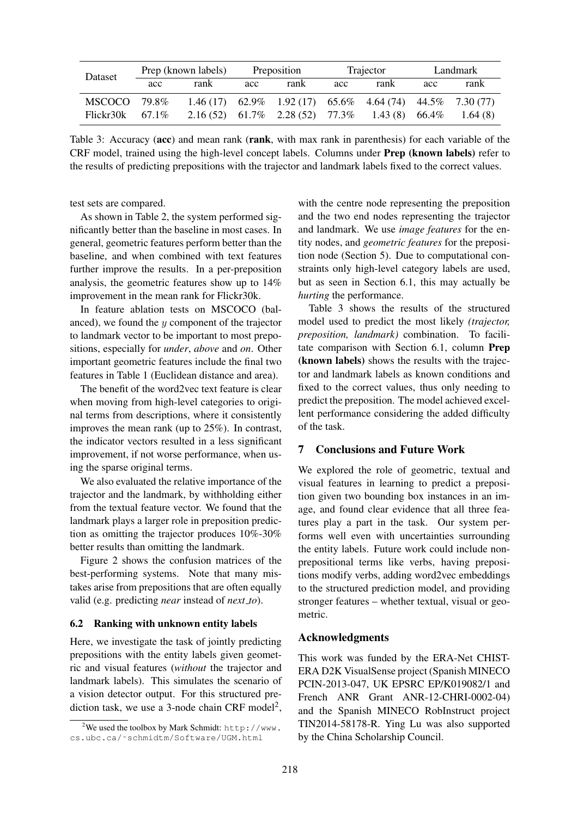| Dataset            | Prep (known labels) |      | Preposition |                                                         | Trajector |      | Landmark |         |
|--------------------|---------------------|------|-------------|---------------------------------------------------------|-----------|------|----------|---------|
|                    | acc                 | rank | acc         | rank                                                    | acc       | rank | acc      | rank    |
| MSCOCO 79.8%       |                     |      |             | $1.46(17)$ 62.9% 1.92(17) 65.6% 4.64(74) 44.5% 7.30(77) |           |      |          |         |
| Flickr30k $67.1\%$ |                     |      |             | 2.16 (52) 61.7% 2.28 (52) 77.3% 1.43 (8) 66.4%          |           |      |          | 1.64(8) |

Table 3: Accuracy (acc) and mean rank (rank, with max rank in parenthesis) for each variable of the CRF model, trained using the high-level concept labels. Columns under Prep (known labels) refer to the results of predicting prepositions with the trajector and landmark labels fixed to the correct values.

test sets are compared.

As shown in Table 2, the system performed significantly better than the baseline in most cases. In general, geometric features perform better than the baseline, and when combined with text features further improve the results. In a per-preposition analysis, the geometric features show up to 14% improvement in the mean rank for Flickr30k.

In feature ablation tests on MSCOCO (balanced), we found the y component of the trajector to landmark vector to be important to most prepositions, especially for *under*, *above* and *on*. Other important geometric features include the final two features in Table 1 (Euclidean distance and area).

The benefit of the word2vec text feature is clear when moving from high-level categories to original terms from descriptions, where it consistently improves the mean rank (up to 25%). In contrast, the indicator vectors resulted in a less significant improvement, if not worse performance, when using the sparse original terms.

We also evaluated the relative importance of the trajector and the landmark, by withholding either from the textual feature vector. We found that the landmark plays a larger role in preposition prediction as omitting the trajector produces 10%-30% better results than omitting the landmark.

Figure 2 shows the confusion matrices of the best-performing systems. Note that many mistakes arise from prepositions that are often equally valid (e.g. predicting *near* instead of *next to*).

# 6.2 Ranking with unknown entity labels

Here, we investigate the task of jointly predicting prepositions with the entity labels given geometric and visual features (*without* the trajector and landmark labels). This simulates the scenario of a vision detector output. For this structured prediction task, we use a 3-node chain CRF model<sup>2</sup>,

with the centre node representing the preposition and the two end nodes representing the trajector and landmark. We use *image features* for the entity nodes, and *geometric features* for the preposition node (Section 5). Due to computational constraints only high-level category labels are used, but as seen in Section 6.1, this may actually be *hurting* the performance.

Table 3 shows the results of the structured model used to predict the most likely *(trajector, preposition, landmark)* combination. To facilitate comparison with Section 6.1, column Prep (known labels) shows the results with the trajector and landmark labels as known conditions and fixed to the correct values, thus only needing to predict the preposition. The model achieved excellent performance considering the added difficulty of the task.

# 7 Conclusions and Future Work

We explored the role of geometric, textual and visual features in learning to predict a preposition given two bounding box instances in an image, and found clear evidence that all three features play a part in the task. Our system performs well even with uncertainties surrounding the entity labels. Future work could include nonprepositional terms like verbs, having prepositions modify verbs, adding word2vec embeddings to the structured prediction model, and providing stronger features – whether textual, visual or geometric.

# Acknowledgments

This work was funded by the ERA-Net CHIST-ERA D2K VisualSense project (Spanish MINECO PCIN-2013-047, UK EPSRC EP/K019082/1 and French ANR Grant ANR-12-CHRI-0002-04) and the Spanish MINECO RobInstruct project TIN2014-58178-R. Ying Lu was also supported by the China Scholarship Council.

<sup>&</sup>lt;sup>2</sup>We used the toolbox by Mark Schmidt: http://www. cs.ubc.ca/˜schmidtm/Software/UGM.html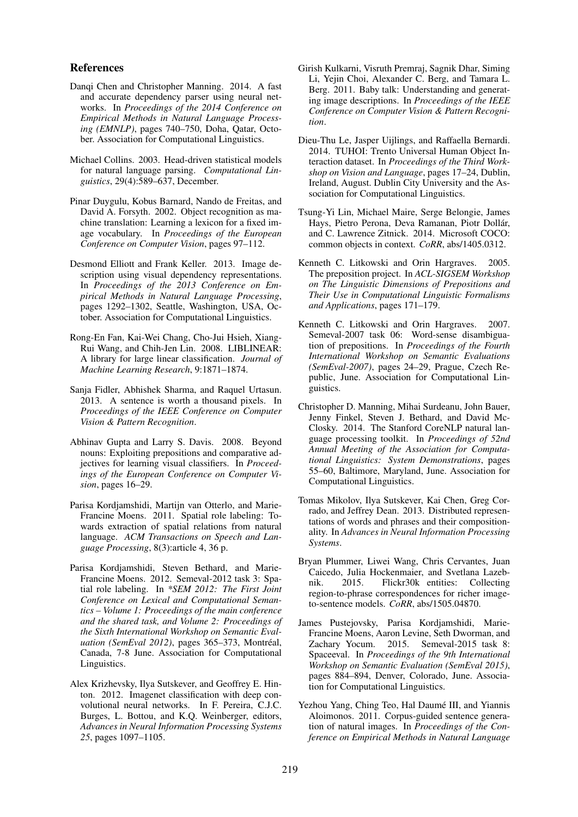#### References

- Danqi Chen and Christopher Manning. 2014. A fast and accurate dependency parser using neural networks. In *Proceedings of the 2014 Conference on Empirical Methods in Natural Language Processing (EMNLP)*, pages 740–750, Doha, Qatar, October. Association for Computational Linguistics.
- Michael Collins. 2003. Head-driven statistical models for natural language parsing. *Computational Linguistics*, 29(4):589–637, December.
- Pinar Duygulu, Kobus Barnard, Nando de Freitas, and David A. Forsyth. 2002. Object recognition as machine translation: Learning a lexicon for a fixed image vocabulary. In *Proceedings of the European Conference on Computer Vision*, pages 97–112.
- Desmond Elliott and Frank Keller. 2013. Image description using visual dependency representations. In *Proceedings of the 2013 Conference on Empirical Methods in Natural Language Processing*, pages 1292–1302, Seattle, Washington, USA, October. Association for Computational Linguistics.
- Rong-En Fan, Kai-Wei Chang, Cho-Jui Hsieh, Xiang-Rui Wang, and Chih-Jen Lin. 2008. LIBLINEAR: A library for large linear classification. *Journal of Machine Learning Research*, 9:1871–1874.
- Sanja Fidler, Abhishek Sharma, and Raquel Urtasun. 2013. A sentence is worth a thousand pixels. In *Proceedings of the IEEE Conference on Computer Vision & Pattern Recognition*.
- Abhinav Gupta and Larry S. Davis. 2008. Beyond nouns: Exploiting prepositions and comparative adjectives for learning visual classifiers. In *Proceedings of the European Conference on Computer Vision*, pages 16–29.
- Parisa Kordjamshidi, Martijn van Otterlo, and Marie-Francine Moens. 2011. Spatial role labeling: Towards extraction of spatial relations from natural language. *ACM Transactions on Speech and Language Processing*, 8(3):article 4, 36 p.
- Parisa Kordjamshidi, Steven Bethard, and Marie-Francine Moens. 2012. Semeval-2012 task 3: Spatial role labeling. In *\*SEM 2012: The First Joint Conference on Lexical and Computational Semantics – Volume 1: Proceedings of the main conference and the shared task, and Volume 2: Proceedings of the Sixth International Workshop on Semantic Evaluation (SemEval 2012)*, pages 365–373, Montréal, Canada, 7-8 June. Association for Computational Linguistics.
- Alex Krizhevsky, Ilya Sutskever, and Geoffrey E. Hinton. 2012. Imagenet classification with deep convolutional neural networks. In F. Pereira, C.J.C. Burges, L. Bottou, and K.Q. Weinberger, editors, *Advances in Neural Information Processing Systems 25*, pages 1097–1105.
- Girish Kulkarni, Visruth Premraj, Sagnik Dhar, Siming Li, Yejin Choi, Alexander C. Berg, and Tamara L. Berg. 2011. Baby talk: Understanding and generating image descriptions. In *Proceedings of the IEEE Conference on Computer Vision & Pattern Recognition*.
- Dieu-Thu Le, Jasper Uijlings, and Raffaella Bernardi. 2014. TUHOI: Trento Universal Human Object Interaction dataset. In *Proceedings of the Third Workshop on Vision and Language*, pages 17–24, Dublin, Ireland, August. Dublin City University and the Association for Computational Linguistics.
- Tsung-Yi Lin, Michael Maire, Serge Belongie, James Hays, Pietro Perona, Deva Ramanan, Piotr Dollár, and C. Lawrence Zitnick. 2014. Microsoft COCO: common objects in context. *CoRR*, abs/1405.0312.
- Kenneth C. Litkowski and Orin Hargraves. 2005. The preposition project. In *ACL-SIGSEM Workshop on The Linguistic Dimensions of Prepositions and Their Use in Computational Linguistic Formalisms and Applications*, pages 171–179.
- Kenneth C. Litkowski and Orin Hargraves. 2007. Semeval-2007 task 06: Word-sense disambiguation of prepositions. In *Proceedings of the Fourth International Workshop on Semantic Evaluations (SemEval-2007)*, pages 24–29, Prague, Czech Republic, June. Association for Computational Linguistics.
- Christopher D. Manning, Mihai Surdeanu, John Bauer, Jenny Finkel, Steven J. Bethard, and David Mc-Closky. 2014. The Stanford CoreNLP natural language processing toolkit. In *Proceedings of 52nd Annual Meeting of the Association for Computational Linguistics: System Demonstrations*, pages 55–60, Baltimore, Maryland, June. Association for Computational Linguistics.
- Tomas Mikolov, Ilya Sutskever, Kai Chen, Greg Corrado, and Jeffrey Dean. 2013. Distributed representations of words and phrases and their compositionality. In *Advances in Neural Information Processing Systems*.
- Bryan Plummer, Liwei Wang, Chris Cervantes, Juan Caicedo, Julia Hockenmaier, and Svetlana Lazebnik. 2015. Flickr30k entities: Collecting region-to-phrase correspondences for richer imageto-sentence models. *CoRR*, abs/1505.04870.
- James Pustejovsky, Parisa Kordjamshidi, Marie-Francine Moens, Aaron Levine, Seth Dworman, and Zachary Yocum. 2015. Semeval-2015 task 8: Spaceeval. In *Proceedings of the 9th International Workshop on Semantic Evaluation (SemEval 2015)*, pages 884–894, Denver, Colorado, June. Association for Computational Linguistics.
- Yezhou Yang, Ching Teo, Hal Daumé III, and Yiannis Aloimonos. 2011. Corpus-guided sentence generation of natural images. In *Proceedings of the Conference on Empirical Methods in Natural Language*